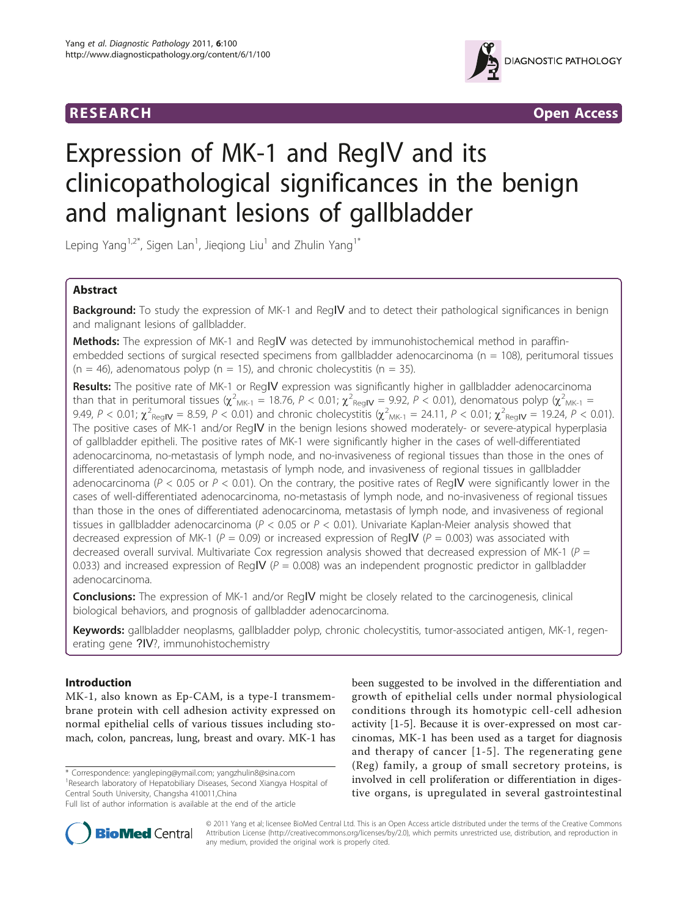



# Expression of MK-1 and RegIV and its clinicopathological significances in the benign and malignant lesions of gallbladder

Leping Yang $^{1,2^\ast}$ , Sigen Lan $^1$ , Jieqiong Liu $^1$  and Zhulin Yang $^{1^\ast}$ 

# Abstract

**Background:** To study the expression of MK-1 and RegIV and to detect their pathological significances in benign and malignant lesions of gallbladder.

Methods: The expression of MK-1 and RegIV was detected by immunohistochemical method in paraffinembedded sections of surgical resected specimens from gallbladder adenocarcinoma ( $n = 108$ ), peritumoral tissues  $(n = 46)$ , adenomatous polyp  $(n = 15)$ , and chronic cholecystitis  $(n = 35)$ .

Results: The positive rate of MK-1 or RegIV expression was significantly higher in gallbladder adenocarcinoma than that in peritumoral tissues ( $\chi^2_{M K-1}$  = 18.76, P < 0.01;  $\chi^2_{R eqN}$  = 9.92, P < 0.01), denomatous polyp ( $\chi^2_{M K-1}$  = 9.49,  $P < 0.01$ ;  $\chi^2_{\text{RegIV}} = 8.59$ ,  $P < 0.01$ ) and chronic cholecystitis ( $\chi^2_{\text{MK-1}} = 24.11$ ,  $P < 0.01$ ;  $\chi^2_{\text{RegIV}} = 19.24$ ,  $P < 0.01$ ). The positive cases of MK-1 and/or RegIV in the benign lesions showed moderately- or severe-atypical hyperplasia of gallbladder epitheli. The positive rates of MK-1 were significantly higher in the cases of well-differentiated adenocarcinoma, no-metastasis of lymph node, and no-invasiveness of regional tissues than those in the ones of differentiated adenocarcinoma, metastasis of lymph node, and invasiveness of regional tissues in gallbladder adenocarcinoma ( $P < 0.05$  or  $P < 0.01$ ). On the contrary, the positive rates of RegIV were significantly lower in the cases of well-differentiated adenocarcinoma, no-metastasis of lymph node, and no-invasiveness of regional tissues than those in the ones of differentiated adenocarcinoma, metastasis of lymph node, and invasiveness of regional tissues in gallbladder adenocarcinoma ( $P < 0.05$  or  $P < 0.01$ ). Univariate Kaplan-Meier analysis showed that decreased expression of MK-1 ( $P = 0.09$ ) or increased expression of RegIV ( $P = 0.003$ ) was associated with decreased overall survival. Multivariate Cox regression analysis showed that decreased expression of MK-1 ( $P =$ 0.033) and increased expression of RegIV ( $P = 0.008$ ) was an independent prognostic predictor in gallbladder adenocarcinoma.

**Conclusions:** The expression of MK-1 and/or RegIV might be closely related to the carcinogenesis, clinical biological behaviors, and prognosis of gallbladder adenocarcinoma.

Keywords: gallbladder neoplasms, gallbladder polyp, chronic cholecystitis, tumor-associated antigen, MK-1, regenerating gene ?IV?, immunohistochemistry

# Introduction

MK-1, also known as Ep-CAM, is a type-I transmembrane protein with cell adhesion activity expressed on normal epithelial cells of various tissues including stomach, colon, pancreas, lung, breast and ovary. MK-1 has

\* Correspondence: [yangleping@ymail.com](mailto:yangleping@ymail.com); [yangzhulin8@sina.com](mailto:yangzhulin8@sina.com) <sup>1</sup> Research laboratory of Hepatobiliary Diseases, Second Xiangya Hospital of Central South University, Changsha 410011,China

been suggested to be involved in the differentiation and growth of epithelial cells under normal physiological conditions through its homotypic cell-cell adhesion activity [[1-5\]](#page-4-0). Because it is over-expressed on most carcinomas, MK-1 has been used as a target for diagnosis and therapy of cancer [[1](#page-4-0)-[5\]](#page-4-0). The regenerating gene (Reg) family, a group of small secretory proteins, is involved in cell proliferation or differentiation in digestive organs, is upregulated in several gastrointestinal



© 2011 Yang et al; licensee BioMed Central Ltd. This is an Open Access article distributed under the terms of the Creative Commons Attribution License [\(http://creativecommons.org/licenses/by/2.0](http://creativecommons.org/licenses/by/2.0)), which permits unrestricted use, distribution, and reproduction in any medium, provided the original work is properly cited.

Full list of author information is available at the end of the article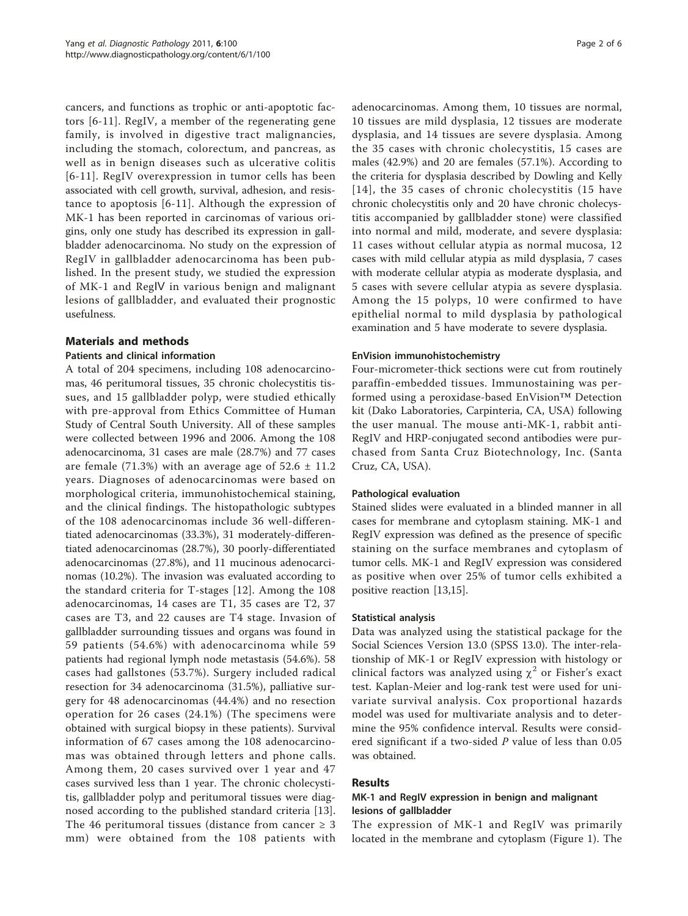cancers, and functions as trophic or anti-apoptotic factors [[6](#page-4-0)-[11\]](#page-5-0). RegIV, a member of the regenerating gene family, is involved in digestive tract malignancies, including the stomach, colorectum, and pancreas, as well as in benign diseases such as ulcerative colitis [[6](#page-4-0)-[11\]](#page-5-0). RegIV overexpression in tumor cells has been associated with cell growth, survival, adhesion, and resistance to apoptosis [[6](#page-4-0)-[11\]](#page-5-0). Although the expression of MK-1 has been reported in carcinomas of various origins, only one study has described its expression in gallbladder adenocarcinoma. No study on the expression of RegIV in gallbladder adenocarcinoma has been published. In the present study, we studied the expression of MK-1 and RegⅣ in various benign and malignant lesions of gallbladder, and evaluated their prognostic usefulness.

# Materials and methods

## Patients and clinical information

A total of 204 specimens, including 108 adenocarcinomas, 46 peritumoral tissues, 35 chronic cholecystitis tissues, and 15 gallbladder polyp, were studied ethically with pre-approval from Ethics Committee of Human Study of Central South University. All of these samples were collected between 1996 and 2006. Among the 108 adenocarcinoma, 31 cases are male (28.7%) and 77 cases are female (71.3%) with an average age of  $52.6 \pm 11.2$ years. Diagnoses of adenocarcinomas were based on morphological criteria, immunohistochemical staining, and the clinical findings. The histopathologic subtypes of the 108 adenocarcinomas include 36 well-differentiated adenocarcinomas (33.3%), 31 moderately-differentiated adenocarcinomas (28.7%), 30 poorly-differentiated adenocarcinomas (27.8%), and 11 mucinous adenocarcinomas (10.2%). The invasion was evaluated according to the standard criteria for T-stages [[12](#page-5-0)]. Among the 108 adenocarcinomas, 14 cases are T1, 35 cases are T2, 37 cases are T3, and 22 causes are T4 stage. Invasion of gallbladder surrounding tissues and organs was found in 59 patients (54.6%) with adenocarcinoma while 59 patients had regional lymph node metastasis (54.6%). 58 cases had gallstones (53.7%). Surgery included radical resection for 34 adenocarcinoma (31.5%), palliative surgery for 48 adenocarcinomas (44.4%) and no resection operation for 26 cases (24.1%) (The specimens were obtained with surgical biopsy in these patients). Survival information of 67 cases among the 108 adenocarcinomas was obtained through letters and phone calls. Among them, 20 cases survived over 1 year and 47 cases survived less than 1 year. The chronic cholecystitis, gallbladder polyp and peritumoral tissues were diagnosed according to the published standard criteria [\[13](#page-5-0)]. The 46 peritumoral tissues (distance from cancer  $\geq$  3 mm) were obtained from the 108 patients with adenocarcinomas. Among them, 10 tissues are normal, 10 tissues are mild dysplasia, 12 tissues are moderate dysplasia, and 14 tissues are severe dysplasia. Among the 35 cases with chronic cholecystitis, 15 cases are males (42.9%) and 20 are females (57.1%). According to the criteria for dysplasia described by Dowling and Kelly [[14](#page-5-0)], the 35 cases of chronic cholecystitis (15 have chronic cholecystitis only and 20 have chronic cholecystitis accompanied by gallbladder stone) were classified into normal and mild, moderate, and severe dysplasia: 11 cases without cellular atypia as normal mucosa, 12 cases with mild cellular atypia as mild dysplasia, 7 cases with moderate cellular atypia as moderate dysplasia, and 5 cases with severe cellular atypia as severe dysplasia. Among the 15 polyps, 10 were confirmed to have epithelial normal to mild dysplasia by pathological examination and 5 have moderate to severe dysplasia.

## EnVision immunohistochemistry

Four-micrometer-thick sections were cut from routinely paraffin-embedded tissues. Immunostaining was performed using a peroxidase-based EnVision™ Detection kit (Dako Laboratories, Carpinteria, CA, USA) following the user manual. The mouse anti-MK-1, rabbit anti-RegIV and HRP-conjugated second antibodies were purchased from Santa Cruz Biotechnology, Inc. (Santa Cruz, CA, USA).

## Pathological evaluation

Stained slides were evaluated in a blinded manner in all cases for membrane and cytoplasm staining. MK-1 and RegIV expression was defined as the presence of specific staining on the surface membranes and cytoplasm of tumor cells. MK-1 and RegIV expression was considered as positive when over 25% of tumor cells exhibited a positive reaction [\[13,15](#page-5-0)].

## Statistical analysis

Data was analyzed using the statistical package for the Social Sciences Version 13.0 (SPSS 13.0). The inter-relationship of MK-1 or RegIV expression with histology or clinical factors was analyzed using  $\chi^2$  or Fisher's exact test. Kaplan-Meier and log-rank test were used for univariate survival analysis. Cox proportional hazards model was used for multivariate analysis and to determine the 95% confidence interval. Results were considered significant if a two-sided P value of less than 0.05 was obtained.

## Results

# MK-1 and RegIV expression in benign and malignant lesions of gallbladder

The expression of MK-1 and RegIV was primarily located in the membrane and cytoplasm (Figure [1\)](#page-2-0). The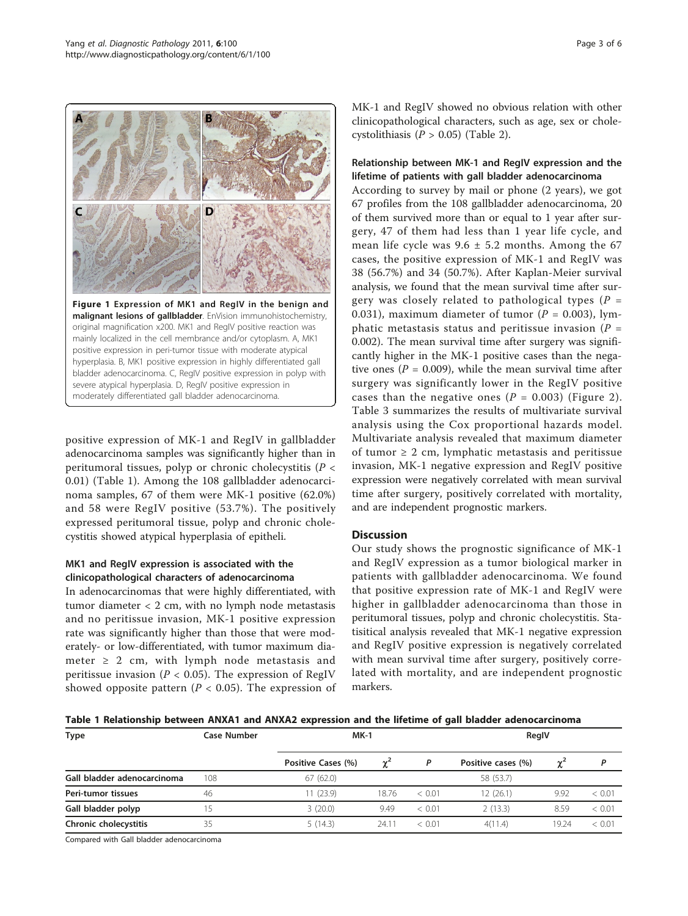<span id="page-2-0"></span>

positive expression of MK-1 and RegIV in gallbladder adenocarcinoma samples was significantly higher than in peritumoral tissues, polyp or chronic cholecystitis (P < 0.01) (Table 1). Among the 108 gallbladder adenocarcinoma samples, 67 of them were MK-1 positive (62.0%) and 58 were RegIV positive (53.7%). The positively expressed peritumoral tissue, polyp and chronic cholecystitis showed atypical hyperplasia of epitheli.

# MK1 and RegIV expression is associated with the clinicopathological characters of adenocarcinoma

In adenocarcinomas that were highly differentiated, with tumor diameter < 2 cm, with no lymph node metastasis and no peritissue invasion, MK-1 positive expression rate was significantly higher than those that were moderately- or low-differentiated, with tumor maximum diameter  $\geq 2$  cm, with lymph node metastasis and peritissue invasion ( $P < 0.05$ ). The expression of RegIV showed opposite pattern ( $P < 0.05$ ). The expression of MK-1 and RegIV showed no obvious relation with other clinicopathological characters, such as age, sex or cholecystolithiasis ( $P > 0.05$ ) (Table [2\)](#page-3-0).

# Relationship between MK-1 and RegIV expression and the lifetime of patients with gall bladder adenocarcinoma

According to survey by mail or phone (2 years), we got 67 profiles from the 108 gallbladder adenocarcinoma, 20 of them survived more than or equal to 1 year after surgery, 47 of them had less than 1 year life cycle, and mean life cycle was  $9.6 \pm 5.2$  months. Among the 67 cases, the positive expression of MK-1 and RegIV was 38 (56.7%) and 34 (50.7%). After Kaplan-Meier survival analysis, we found that the mean survival time after surgery was closely related to pathological types ( $P =$ 0.031), maximum diameter of tumor ( $P = 0.003$ ), lymphatic metastasis status and peritissue invasion ( $P =$ 0.002). The mean survival time after surgery was significantly higher in the MK-1 positive cases than the negative ones ( $P = 0.009$ ), while the mean survival time after surgery was significantly lower in the RegIV positive cases than the negative ones ( $P = 0.003$ ) (Figure [2\)](#page-3-0). Table [3](#page-4-0) summarizes the results of multivariate survival analysis using the Cox proportional hazards model. Multivariate analysis revealed that maximum diameter of tumor  $\geq 2$  cm, lymphatic metastasis and peritissue invasion, MK-1 negative expression and RegIV positive expression were negatively correlated with mean survival time after surgery, positively correlated with mortality, and are independent prognostic markers.

# **Discussion**

Our study shows the prognostic significance of MK-1 and RegIV expression as a tumor biological marker in patients with gallbladder adenocarcinoma. We found that positive expression rate of MK-1 and RegIV were higher in gallbladder adenocarcinoma than those in peritumoral tissues, polyp and chronic cholecystitis. Statisitical analysis revealed that MK-1 negative expression and RegIV positive expression is negatively correlated with mean survival time after surgery, positively correlated with mortality, and are independent prognostic markers.

Table 1 Relationship between ANXA1 and ANXA2 expression and the lifetime of gall bladder adenocarcinoma

| <b>Type</b>                 | Case Number | $MK-1$             |       |        | RegIV              |          |        |  |
|-----------------------------|-------------|--------------------|-------|--------|--------------------|----------|--------|--|
|                             |             | Positive Cases (%) |       |        | Positive cases (%) | $\chi^2$ |        |  |
| Gall bladder adenocarcinoma | 108         | 67(62.0)           |       |        | 58 (53.7)          |          |        |  |
| Peri-tumor tissues          | 46          | 1(23.9)            | 18.76 | < 0.01 | 12 (26.1)          | 9.92     | < 0.01 |  |
| Gall bladder polyp          |             | 3(20.0)            | 9.49  | < 0.01 | 2(13.3)            | 8.59     | < 0.01 |  |
| Chronic cholecystitis       | 35          | 5(14.3)            | 24.11 | < 0.01 | 4(11.4)            | 19.24    | < 0.01 |  |

Compared with Gall bladder adenocarcinoma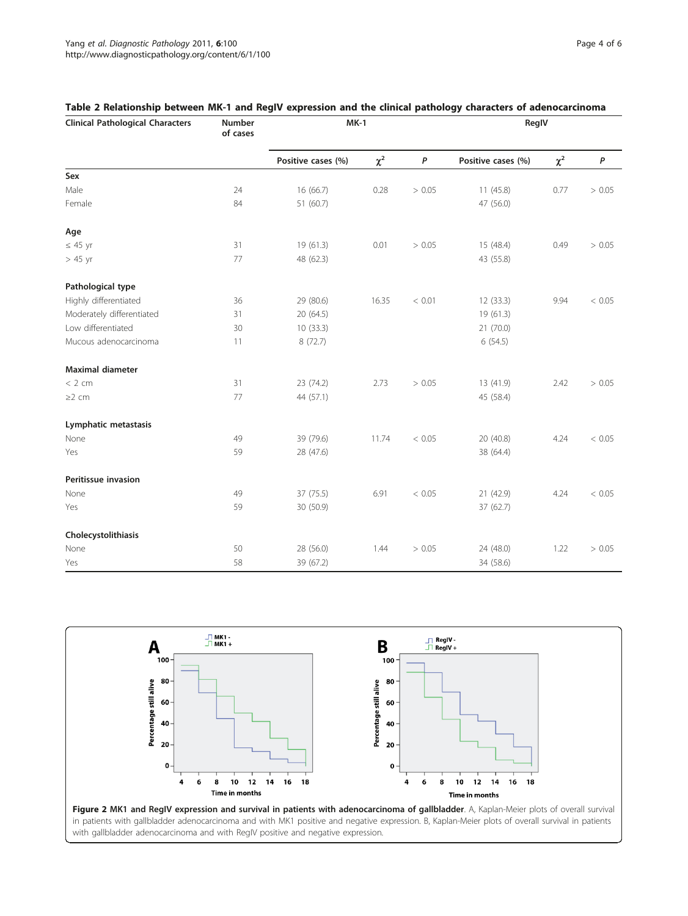| <b>Clinical Pathological Characters</b> | <b>Number</b><br>of cases | $MK-1$             |          |        | RegIV              |          |                  |
|-----------------------------------------|---------------------------|--------------------|----------|--------|--------------------|----------|------------------|
|                                         |                           | Positive cases (%) | $\chi^2$ | P      | Positive cases (%) | $\chi^2$ | $\boldsymbol{P}$ |
| ${\sf Sex}$                             |                           |                    |          |        |                    |          |                  |
| Male                                    | 24                        | 16 (66.7)          | 0.28     | > 0.05 | 11 (45.8)          | 0.77     | > 0.05           |
| Female                                  | 84                        | 51 (60.7)          |          |        | 47 (56.0)          |          |                  |
| Age                                     |                           |                    |          |        |                    |          |                  |
| $\leq 45$ yr                            | 31                        | 19 (61.3)          | 0.01     | > 0.05 | 15 (48.4)          | 0.49     | > 0.05           |
| $> 45$ yr                               | 77                        | 48 (62.3)          |          |        | 43 (55.8)          |          |                  |
| Pathological type                       |                           |                    |          |        |                    |          |                  |
| Highly differentiated                   | 36                        | 29 (80.6)          | 16.35    | < 0.01 | 12 (33.3)          | 9.94     | < 0.05           |
| Moderately differentiated               | 31                        | 20 (64.5)          |          |        | 19 (61.3)          |          |                  |
| Low differentiated                      | 30                        | 10(33.3)           |          |        | 21 (70.0)          |          |                  |
| Mucous adenocarcinoma                   | 11                        | 8(72.7)            |          |        | 6(54.5)            |          |                  |
| <b>Maximal diameter</b>                 |                           |                    |          |        |                    |          |                  |
| < 2 cm                                  | 31                        | 23 (74.2)          | 2.73     | > 0.05 | 13 (41.9)          | 2.42     | > 0.05           |
| $\geq$ 2 cm                             | 77                        | 44 (57.1)          |          |        | 45 (58.4)          |          |                  |
| Lymphatic metastasis                    |                           |                    |          |        |                    |          |                  |
| None                                    | 49                        | 39 (79.6)          | 11.74    | < 0.05 | 20 (40.8)          | 4.24     | < 0.05           |
| Yes                                     | 59                        | 28 (47.6)          |          |        | 38 (64.4)          |          |                  |
| Peritissue invasion                     |                           |                    |          |        |                    |          |                  |
| None                                    | 49                        | 37 (75.5)          | 6.91     | < 0.05 | 21 (42.9)          | 4.24     | < 0.05           |
| Yes                                     | 59                        | 30 (50.9)          |          |        | 37 (62.7)          |          |                  |
| Cholecystolithiasis                     |                           |                    |          |        |                    |          |                  |
| None                                    | 50                        | 28 (56.0)          | 1.44     | > 0.05 | 24 (48.0)          | 1.22     | > 0.05           |
| Yes                                     | 58                        | 39 (67.2)          |          |        | 34 (58.6)          |          |                  |

# <span id="page-3-0"></span>Table 2 Relationship between MK-1 and RegIV expression and the clinical pathology characters of adenocarcinoma



with gallbladder adenocarcinoma and with RegIV positive and negative expression.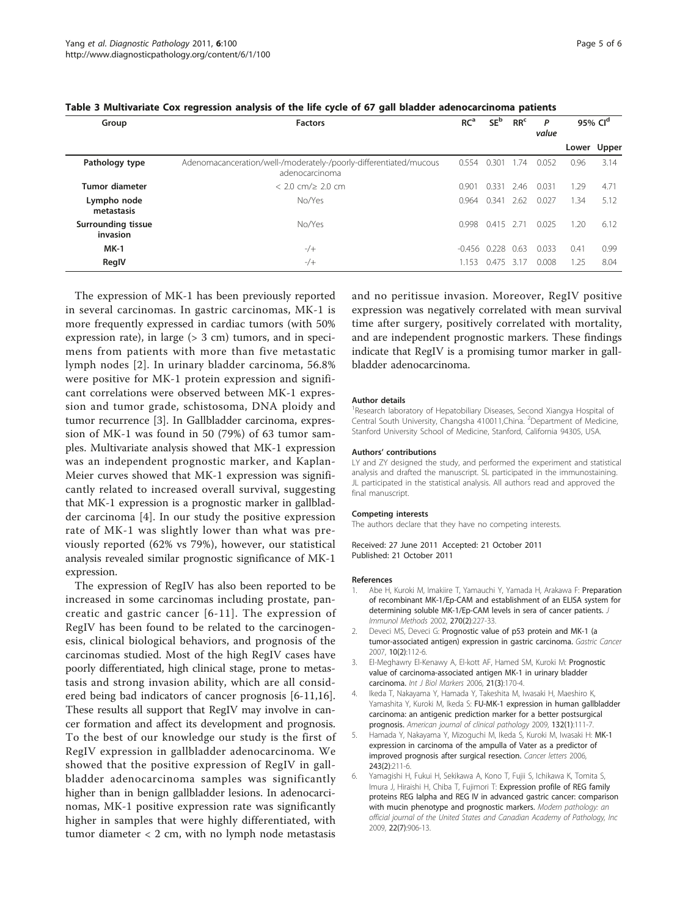| Group                                 | <b>Factors</b>                                                                      | RC <sup>a</sup> | SE <sup>b</sup> | RR <sup>c</sup> | P<br>value |      | 95% Cl <sup>d</sup> |
|---------------------------------------|-------------------------------------------------------------------------------------|-----------------|-----------------|-----------------|------------|------|---------------------|
|                                       |                                                                                     |                 |                 |                 |            |      | Lower Upper         |
| Pathology type                        | Adenomacanceration/well-/moderately-/poorly-differentiated/mucous<br>adenocarcinoma | 0.554           | $0.30^{\circ}$  | .74             | 0.052      | 0.96 | 3.14                |
| <b>Tumor diameter</b>                 | $< 2.0$ cm/ $\geq 2.0$ cm                                                           | 0.901           | 0.331           | 2.46            | 0.031      | 1.29 | 4.71                |
| Lympho node<br>metastasis             | No/Yes                                                                              | 0.964           | 0.341           | 2.62            | 0.027      | .34  | 5.12                |
| <b>Surrounding tissue</b><br>invasion | No/Yes                                                                              | 0.998           | 0.415           | 271             | 0.025      | 1.20 | 6.12                |
| $MK-1$                                | $-/+$                                                                               | -0.456          | 0.228           | 0.63            | 0.033      | 0.41 | 0.99                |
| RegIV                                 | $-$ /+                                                                              | 1 1 5 3         | 0.475           | 317             | 0.008      | 1.25 | 8.04                |

<span id="page-4-0"></span>

| Table 3 Multivariate Cox regression analysis of the life cycle of 67 gall bladder adenocarcinoma patients |  |  |  |  |  |  |
|-----------------------------------------------------------------------------------------------------------|--|--|--|--|--|--|
|-----------------------------------------------------------------------------------------------------------|--|--|--|--|--|--|

The expression of MK-1 has been previously reported in several carcinomas. In gastric carcinomas, MK-1 is more frequently expressed in cardiac tumors (with 50% expression rate), in large (> 3 cm) tumors, and in specimens from patients with more than five metastatic lymph nodes [2]. In urinary bladder carcinoma, 56.8% were positive for MK-1 protein expression and significant correlations were observed between MK-1 expression and tumor grade, schistosoma, DNA ploidy and tumor recurrence [3]. In Gallbladder carcinoma, expression of MK-1 was found in 50 (79%) of 63 tumor samples. Multivariate analysis showed that MK-1 expression was an independent prognostic marker, and Kaplan-Meier curves showed that MK-1 expression was significantly related to increased overall survival, suggesting that MK-1 expression is a prognostic marker in gallbladder carcinoma [4]. In our study the positive expression rate of MK-1 was slightly lower than what was previously reported (62% vs 79%), however, our statistical analysis revealed similar prognostic significance of MK-1 expression.

The expression of RegIV has also been reported to be increased in some carcinomas including prostate, pancreatic and gastric cancer [6-[11](#page-5-0)]. The expression of RegIV has been found to be related to the carcinogenesis, clinical biological behaviors, and prognosis of the carcinomas studied. Most of the high RegIV cases have poorly differentiated, high clinical stage, prone to metastasis and strong invasion ability, which are all considered being bad indicators of cancer prognosis [6-[11,16](#page-5-0)]. These results all support that RegIV may involve in cancer formation and affect its development and prognosis. To the best of our knowledge our study is the first of RegIV expression in gallbladder adenocarcinoma. We showed that the positive expression of RegIV in gallbladder adenocarcinoma samples was significantly higher than in benign gallbladder lesions. In adenocarcinomas, MK-1 positive expression rate was significantly higher in samples that were highly differentiated, with tumor diameter  $<$  2 cm, with no lymph node metastasis and no peritissue invasion. Moreover, RegIV positive expression was negatively correlated with mean survival time after surgery, positively correlated with mortality, and are independent prognostic markers. These findings indicate that RegIV is a promising tumor marker in gallbladder adenocarcinoma.

#### Author details

<sup>1</sup> Research laboratory of Hepatobiliary Diseases, Second Xiangya Hospital of Central South University, Changsha 410011, China. <sup>2</sup> Department of Medicine Stanford University School of Medicine, Stanford, California 94305, USA.

#### Authors' contributions

LY and ZY designed the study, and performed the experiment and statistical analysis and drafted the manuscript. SL participated in the immunostaining. JL participated in the statistical analysis. All authors read and approved the final manuscript.

#### Competing interests

The authors declare that they have no competing interests.

Received: 27 June 2011 Accepted: 21 October 2011 Published: 21 October 2011

#### References

- Abe H, Kuroki M, Imakiire T, Yamauchi Y, Yamada H, Arakawa F: [Preparation](http://www.ncbi.nlm.nih.gov/pubmed/12379327?dopt=Abstract) [of recombinant MK-1/Ep-CAM and establishment of an ELISA system for](http://www.ncbi.nlm.nih.gov/pubmed/12379327?dopt=Abstract) [determining soluble MK-1/Ep-CAM levels in sera of cancer patients.](http://www.ncbi.nlm.nih.gov/pubmed/12379327?dopt=Abstract) J Immunol Methods 2002, 270(2):227-33.
- 2. Deveci MS, Deveci G: [Prognostic value of p53 protein and MK-1 \(a](http://www.ncbi.nlm.nih.gov/pubmed/17577621?dopt=Abstract) [tumor-associated antigen\) expression in gastric carcinoma.](http://www.ncbi.nlm.nih.gov/pubmed/17577621?dopt=Abstract) Gastric Cancer 2007, 10(2):112-6.
- 3. El-Meghawry El-Kenawy A, El-kott AF, Hamed SM, Kuroki M: [Prognostic](http://www.ncbi.nlm.nih.gov/pubmed/17013799?dopt=Abstract) [value of carcinoma-associated antigen MK-1 in urinary bladder](http://www.ncbi.nlm.nih.gov/pubmed/17013799?dopt=Abstract) [carcinoma.](http://www.ncbi.nlm.nih.gov/pubmed/17013799?dopt=Abstract) Int J Biol Markers 2006, 21(3):170-4.
- 4. Ikeda T, Nakayama Y, Hamada Y, Takeshita M, Iwasaki H, Maeshiro K, Yamashita Y, Kuroki M, Ikeda S: [FU-MK-1 expression in human gallbladder](http://www.ncbi.nlm.nih.gov/pubmed/19864241?dopt=Abstract) [carcinoma: an antigenic prediction marker for a better postsurgical](http://www.ncbi.nlm.nih.gov/pubmed/19864241?dopt=Abstract) [prognosis.](http://www.ncbi.nlm.nih.gov/pubmed/19864241?dopt=Abstract) American journal of clinical pathology 2009, 132(1):111-7.
- 5. Hamada Y, Nakayama Y, Mizoguchi M, Ikeda S, Kuroki M, Iwasaki H: [MK-1](http://www.ncbi.nlm.nih.gov/pubmed/16616808?dopt=Abstract) [expression in carcinoma of the ampulla of Vater as a predictor of](http://www.ncbi.nlm.nih.gov/pubmed/16616808?dopt=Abstract) [improved prognosis after surgical resection.](http://www.ncbi.nlm.nih.gov/pubmed/16616808?dopt=Abstract) Cancer letters 2006, 243(2):211-6.
- 6. Yamagishi H, Fukui H, Sekikawa A, Kono T, Fujii S, Ichikawa K, Tomita S, Imura J, Hiraishi H, Chiba T, Fujimori T: Expression profile of REG family proteins REG Ialpha and REG IV in advanced gastric cancer: comparison with mucin phenotype and prognostic markers. Modern pathology: an official journal of the United States and Canadian Academy of Pathology, Inc 2009, 22(7):906-13.